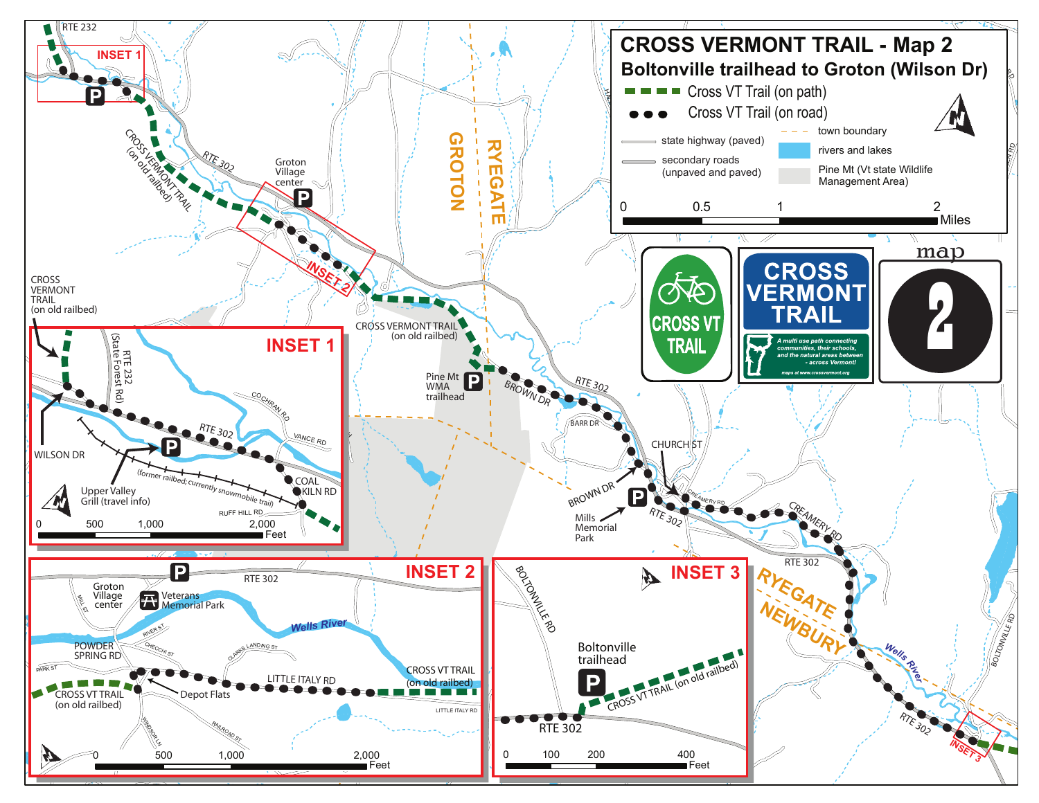